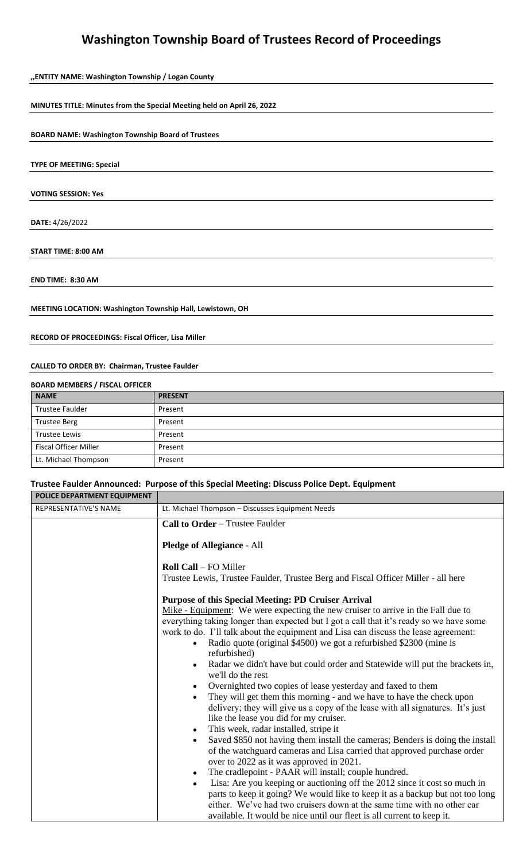# **Washington Township Board of Trustees Record of Proceedings**

| "ENTITY NAME: Washington Township / Logan County                       |
|------------------------------------------------------------------------|
|                                                                        |
| MINUTES TITLE: Minutes from the Special Meeting held on April 26, 2022 |
| <b>BOARD NAME: Washington Township Board of Trustees</b>               |
| <b>TYPE OF MEETING: Special</b>                                        |
| <b>VOTING SESSION: Yes</b>                                             |
| DATE: 4/26/2022                                                        |
| <b>START TIME: 8:00 AM</b>                                             |
| <b>END TIME: 8:30 AM</b>                                               |
| MEETING LOCATION: Washington Township Hall, Lewistown, OH              |

### **RECORD OF PROCEEDINGS: Fiscal Officer, Lisa Miller**

### **CALLED TO ORDER BY: Chairman, Trustee Faulder**

| <b>BOARD MEMBERS / FISCAL OFFICER</b> |                |  |
|---------------------------------------|----------------|--|
| <b>NAME</b>                           | <b>PRESENT</b> |  |
| <b>Trustee Faulder</b>                | Present        |  |
| <b>Trustee Berg</b>                   | Present        |  |
| <b>Trustee Lewis</b>                  | Present        |  |
| <b>Fiscal Officer Miller</b>          | Present        |  |
| Lt. Michael Thompson                  | Present        |  |

# **Trustee Faulder Announced: Purpose of this Special Meeting: Discuss Police Dept. Equipment**

**POLICE DEPARTMENT EQUIPMENT** 

| PULICE DEPARTIVIENT EQUIPIVIENT |                                                                                                                                                                                                                                                                                                                                                                                                                                                                                                                                                                                                                                                                                                                                                                                                                                                                                                                                                                                                                                                                                                                                                                                                                                                                                                                                                                                                                                                                               |  |  |
|---------------------------------|-------------------------------------------------------------------------------------------------------------------------------------------------------------------------------------------------------------------------------------------------------------------------------------------------------------------------------------------------------------------------------------------------------------------------------------------------------------------------------------------------------------------------------------------------------------------------------------------------------------------------------------------------------------------------------------------------------------------------------------------------------------------------------------------------------------------------------------------------------------------------------------------------------------------------------------------------------------------------------------------------------------------------------------------------------------------------------------------------------------------------------------------------------------------------------------------------------------------------------------------------------------------------------------------------------------------------------------------------------------------------------------------------------------------------------------------------------------------------------|--|--|
| <b>REPRESENTATIVE'S NAME</b>    | Lt. Michael Thompson - Discusses Equipment Needs<br>Call to Order - Trustee Faulder<br><b>Pledge of Allegiance - All</b>                                                                                                                                                                                                                                                                                                                                                                                                                                                                                                                                                                                                                                                                                                                                                                                                                                                                                                                                                                                                                                                                                                                                                                                                                                                                                                                                                      |  |  |
|                                 |                                                                                                                                                                                                                                                                                                                                                                                                                                                                                                                                                                                                                                                                                                                                                                                                                                                                                                                                                                                                                                                                                                                                                                                                                                                                                                                                                                                                                                                                               |  |  |
|                                 | <b>Roll Call</b> - FO Miller<br>Trustee Lewis, Trustee Faulder, Trustee Berg and Fiscal Officer Miller - all here                                                                                                                                                                                                                                                                                                                                                                                                                                                                                                                                                                                                                                                                                                                                                                                                                                                                                                                                                                                                                                                                                                                                                                                                                                                                                                                                                             |  |  |
|                                 | <b>Purpose of this Special Meeting: PD Cruiser Arrival</b><br>Mike - Equipment: We were expecting the new cruiser to arrive in the Fall due to<br>everything taking longer than expected but I got a call that it's ready so we have some<br>work to do. I'll talk about the equipment and Lisa can discuss the lease agreement:<br>Radio quote (original \$4500) we got a refurbished \$2300 (mine is<br>refurbished)<br>Radar we didn't have but could order and Statewide will put the brackets in,<br>we'll do the rest<br>Overnighted two copies of lease yesterday and faxed to them<br>They will get them this morning - and we have to have the check upon<br>$\bullet$<br>delivery; they will give us a copy of the lease with all signatures. It's just<br>like the lease you did for my cruiser.<br>This week, radar installed, stripe it<br>$\bullet$<br>Saved \$850 not having them install the cameras; Benders is doing the install<br>$\bullet$<br>of the watchguard cameras and Lisa carried that approved purchase order<br>over to 2022 as it was approved in 2021.<br>The cradlepoint - PAAR will install; couple hundred.<br>Lisa: Are you keeping or auctioning off the 2012 since it cost so much in<br>$\bullet$<br>parts to keep it going? We would like to keep it as a backup but not too long<br>either. We've had two cruisers down at the same time with no other car<br>available. It would be nice until our fleet is all current to keep it. |  |  |